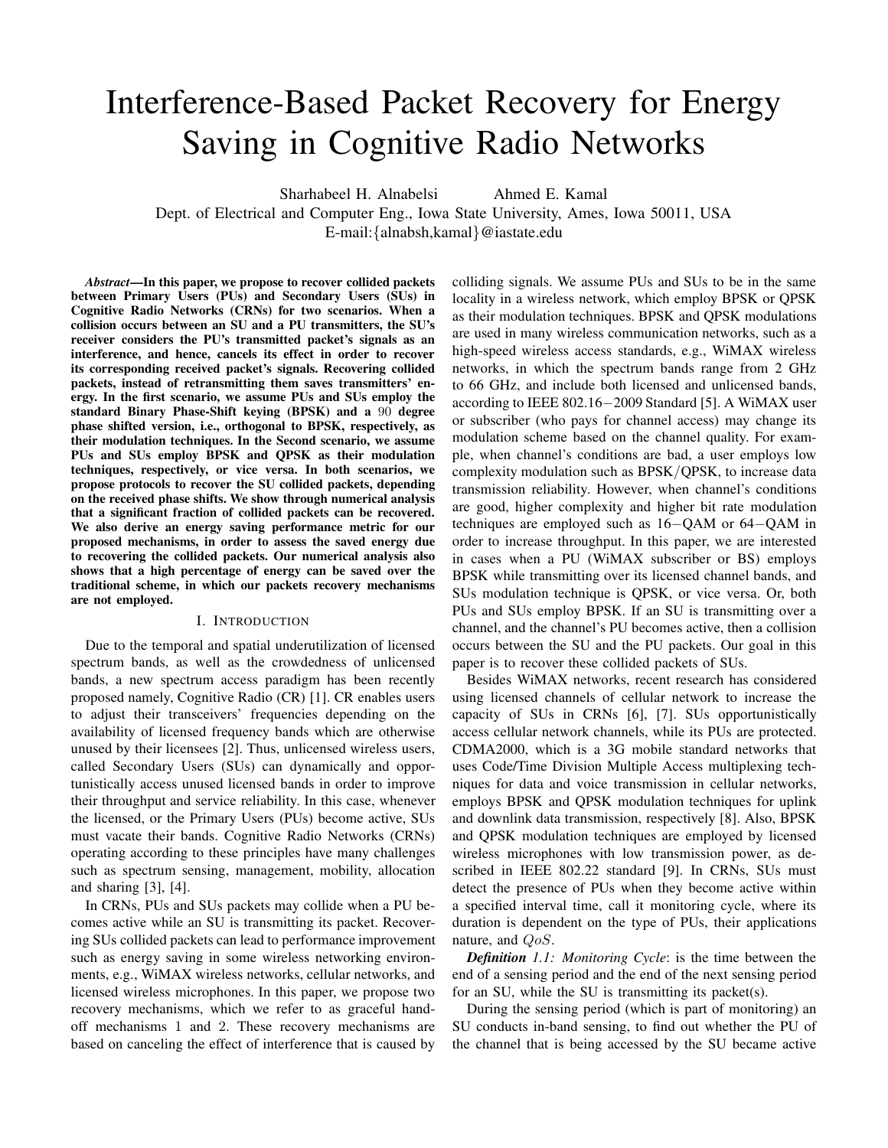# Interference-Based Packet Recovery for Energy Saving in Cognitive Radio Networks

Sharhabeel H. Alnabelsi Ahmed E. Kamal

Dept. of Electrical and Computer Eng., Iowa State University, Ames, Iowa 50011, USA E-mail:{alnabsh,kamal}@iastate.edu

*Abstract***—In this paper, we propose to recover collided packets between Primary Users (PUs) and Secondary Users (SUs) in Cognitive Radio Networks (CRNs) for two scenarios. When a collision occurs between an SU and a PU transmitters, the SU's receiver considers the PU's transmitted packet's signals as an interference, and hence, cancels its effect in order to recover its corresponding received packet's signals. Recovering collided packets, instead of retransmitting them saves transmitters' energy. In the first scenario, we assume PUs and SUs employ the standard Binary Phase-Shift keying (BPSK) and a** 90 **degree phase shifted version, i.e., orthogonal to BPSK, respectively, as their modulation techniques. In the Second scenario, we assume PUs and SUs employ BPSK and QPSK as their modulation techniques, respectively, or vice versa. In both scenarios, we propose protocols to recover the SU collided packets, depending on the received phase shifts. We show through numerical analysis that a significant fraction of collided packets can be recovered. We also derive an energy saving performance metric for our proposed mechanisms, in order to assess the saved energy due to recovering the collided packets. Our numerical analysis also shows that a high percentage of energy can be saved over the traditional scheme, in which our packets recovery mechanisms are not employed.**

## I. INTRODUCTION

Due to the temporal and spatial underutilization of licensed spectrum bands, as well as the crowdedness of unlicensed bands, a new spectrum access paradigm has been recently proposed namely, Cognitive Radio (CR) [1]. CR enables users to adjust their transceivers' frequencies depending on the availability of licensed frequency bands which are otherwise unused by their licensees [2]. Thus, unlicensed wireless users, called Secondary Users (SUs) can dynamically and opportunistically access unused licensed bands in order to improve their throughput and service reliability. In this case, whenever the licensed, or the Primary Users (PUs) become active, SUs must vacate their bands. Cognitive Radio Networks (CRNs) operating according to these principles have many challenges such as spectrum sensing, management, mobility, allocation and sharing [3], [4].

In CRNs, PUs and SUs packets may collide when a PU becomes active while an SU is transmitting its packet. Recovering SUs collided packets can lead to performance improvement such as energy saving in some wireless networking environments, e.g., WiMAX wireless networks, cellular networks, and licensed wireless microphones. In this paper, we propose two recovery mechanisms, which we refer to as graceful handoff mechanisms 1 and 2. These recovery mechanisms are based on canceling the effect of interference that is caused by colliding signals. We assume PUs and SUs to be in the same locality in a wireless network, which employ BPSK or QPSK as their modulation techniques. BPSK and QPSK modulations are used in many wireless communication networks, such as a high-speed wireless access standards, e.g., WiMAX wireless networks, in which the spectrum bands range from 2 GHz to 66 GHz, and include both licensed and unlicensed bands, according to IEEE 802.16−2009 Standard [5]. A WiMAX user or subscriber (who pays for channel access) may change its modulation scheme based on the channel quality. For example, when channel's conditions are bad, a user employs low complexity modulation such as BPSK/QPSK, to increase data transmission reliability. However, when channel's conditions are good, higher complexity and higher bit rate modulation techniques are employed such as 16−QAM or 64−QAM in order to increase throughput. In this paper, we are interested in cases when a PU (WiMAX subscriber or BS) employs BPSK while transmitting over its licensed channel bands, and SUs modulation technique is QPSK, or vice versa. Or, both PUs and SUs employ BPSK. If an SU is transmitting over a channel, and the channel's PU becomes active, then a collision occurs between the SU and the PU packets. Our goal in this paper is to recover these collided packets of SUs.

Besides WiMAX networks, recent research has considered using licensed channels of cellular network to increase the capacity of SUs in CRNs [6], [7]. SUs opportunistically access cellular network channels, while its PUs are protected. CDMA2000, which is a 3G mobile standard networks that uses Code/Time Division Multiple Access multiplexing techniques for data and voice transmission in cellular networks, employs BPSK and QPSK modulation techniques for uplink and downlink data transmission, respectively [8]. Also, BPSK and QPSK modulation techniques are employed by licensed wireless microphones with low transmission power, as described in IEEE 802.22 standard [9]. In CRNs, SUs must detect the presence of PUs when they become active within a specified interval time, call it monitoring cycle, where its duration is dependent on the type of PUs, their applications nature, and QoS.

*Definition 1.1: Monitoring Cycle*: is the time between the end of a sensing period and the end of the next sensing period for an SU, while the SU is transmitting its packet(s).

During the sensing period (which is part of monitoring) an SU conducts in-band sensing, to find out whether the PU of the channel that is being accessed by the SU became active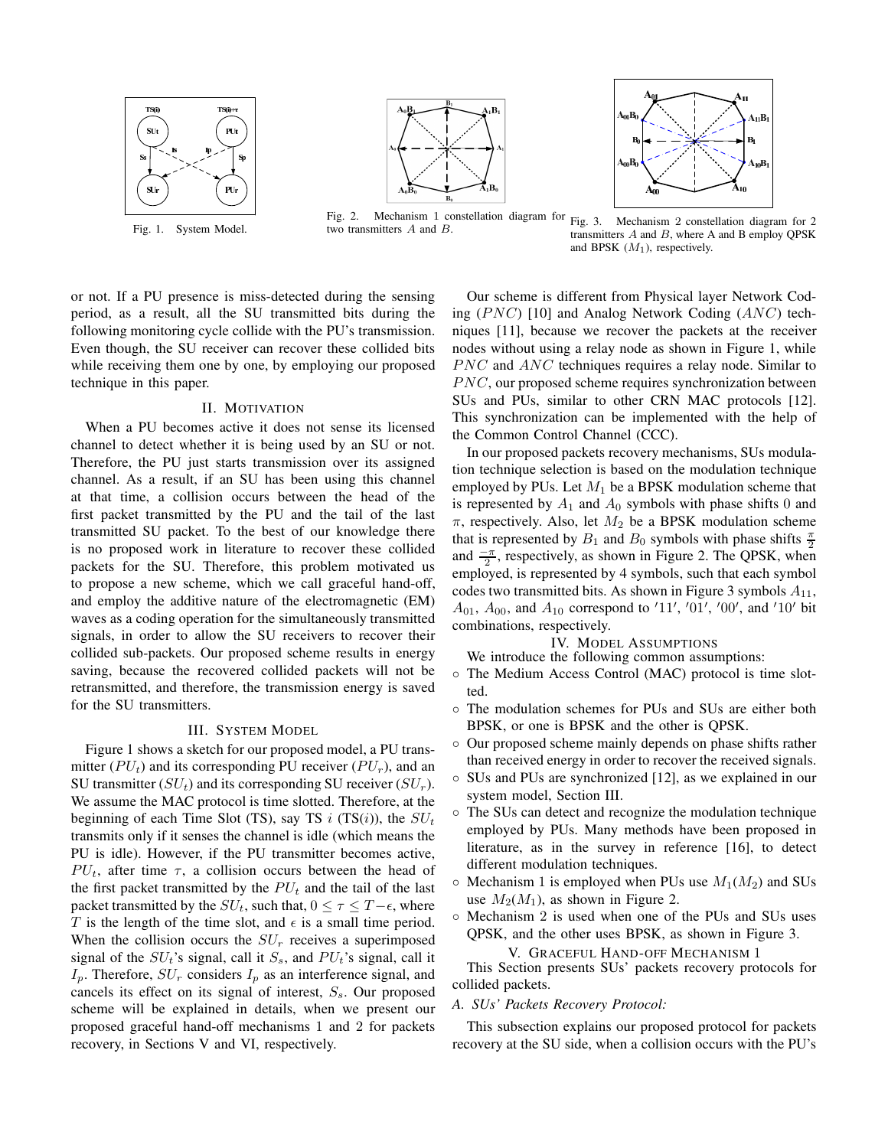

Fig. 1. System Model.



Fig. 2. Mechanism 1 constellation diagram for Fig. 3. Mechanism 2 constellation diagram for 2 two transmitters A and B.



transmitters  $A$  and  $B$ , where  $A$  and  $B$  employ QPSK and BPSK  $(M_1)$ , respectively.

or not. If a PU presence is miss-detected during the sensing period, as a result, all the SU transmitted bits during the following monitoring cycle collide with the PU's transmission. Even though, the SU receiver can recover these collided bits while receiving them one by one, by employing our proposed technique in this paper.

#### II. MOTIVATION

When a PU becomes active it does not sense its licensed channel to detect whether it is being used by an SU or not. Therefore, the PU just starts transmission over its assigned channel. As a result, if an SU has been using this channel at that time, a collision occurs between the head of the first packet transmitted by the PU and the tail of the last transmitted SU packet. To the best of our knowledge there is no proposed work in literature to recover these collided packets for the SU. Therefore, this problem motivated us to propose a new scheme, which we call graceful hand-off, and employ the additive nature of the electromagnetic (EM) waves as a coding operation for the simultaneously transmitted signals, in order to allow the SU receivers to recover their collided sub-packets. Our proposed scheme results in energy saving, because the recovered collided packets will not be retransmitted, and therefore, the transmission energy is saved for the SU transmitters.

## III. SYSTEM MODEL

Figure 1 shows a sketch for our proposed model, a PU transmitter ( $PU_t$ ) and its corresponding PU receiver ( $PU_r$ ), and an SU transmitter  $(SU_t)$  and its corresponding SU receiver  $(SU_r)$ . We assume the MAC protocol is time slotted. Therefore, at the beginning of each Time Slot (TS), say TS i (TS(i)), the  $SU<sub>t</sub>$ transmits only if it senses the channel is idle (which means the PU is idle). However, if the PU transmitter becomes active,  $PU_t$ , after time  $\tau$ , a collision occurs between the head of the first packet transmitted by the  $PU_t$  and the tail of the last packet transmitted by the  $SU_t$ , such that,  $0 \leq \tau \leq T - \epsilon$ , where T is the length of the time slot, and  $\epsilon$  is a small time period. When the collision occurs the  $SU<sub>r</sub>$  receives a superimposed signal of the  $SU<sub>t</sub>$ 's signal, call it  $S<sub>s</sub>$ , and  $PU<sub>t</sub>$ 's signal, call it  $I_p$ . Therefore,  $SU_r$  considers  $I_p$  as an interference signal, and cancels its effect on its signal of interest,  $S_s$ . Our proposed scheme will be explained in details, when we present our proposed graceful hand-off mechanisms 1 and 2 for packets recovery, in Sections V and VI, respectively.

Our scheme is different from Physical layer Network Coding  $(PNC)$  [10] and Analog Network Coding  $(ANC)$  techniques [11], because we recover the packets at the receiver nodes without using a relay node as shown in Figure 1, while  $PNC$  and  $ANC$  techniques requires a relay node. Similar to  $PNC$ , our proposed scheme requires synchronization between SUs and PUs, similar to other CRN MAC protocols [12]. This synchronization can be implemented with the help of the Common Control Channel (CCC).

In our proposed packets recovery mechanisms, SUs modulation technique selection is based on the modulation technique employed by PUs. Let  $M_1$  be a BPSK modulation scheme that is represented by  $A_1$  and  $A_0$  symbols with phase shifts 0 and  $\pi$ , respectively. Also, let  $M_2$  be a BPSK modulation scheme that is represented by  $B_1$  and  $B_0$  symbols with phase shifts  $\frac{\pi}{2}$ and  $\frac{-\pi}{2}$ , respectively, as shown in Figure 2. The QPSK, when employed, is represented by 4 symbols, such that each symbol codes two transmitted bits. As shown in Figure 3 symbols  $A_{11}$ ,  $A_{01}$ ,  $A_{00}$ , and  $A_{10}$  correspond to '11', '01', '00', and '10' bit combinations, respectively.

IV. MODEL ASSUMPTIONS

- We introduce the following common assumptions:
- The Medium Access Control (MAC) protocol is time slotted.
- The modulation schemes for PUs and SUs are either both BPSK, or one is BPSK and the other is QPSK.
- Our proposed scheme mainly depends on phase shifts rather than received energy in order to recover the received signals.
- SUs and PUs are synchronized [12], as we explained in our system model, Section III.
- The SUs can detect and recognize the modulation technique employed by PUs. Many methods have been proposed in literature, as in the survey in reference [16], to detect different modulation techniques.
- $\circ$  Mechanism 1 is employed when PUs use  $M_1(M_2)$  and SUs use  $M_2(M_1)$ , as shown in Figure 2.
- Mechanism 2 is used when one of the PUs and SUs uses QPSK, and the other uses BPSK, as shown in Figure 3.

V. GRACEFUL HAND-OFF MECHANISM 1

This Section presents SUs' packets recovery protocols for collided packets.

*A. SUs' Packets Recovery Protocol:*

This subsection explains our proposed protocol for packets recovery at the SU side, when a collision occurs with the PU's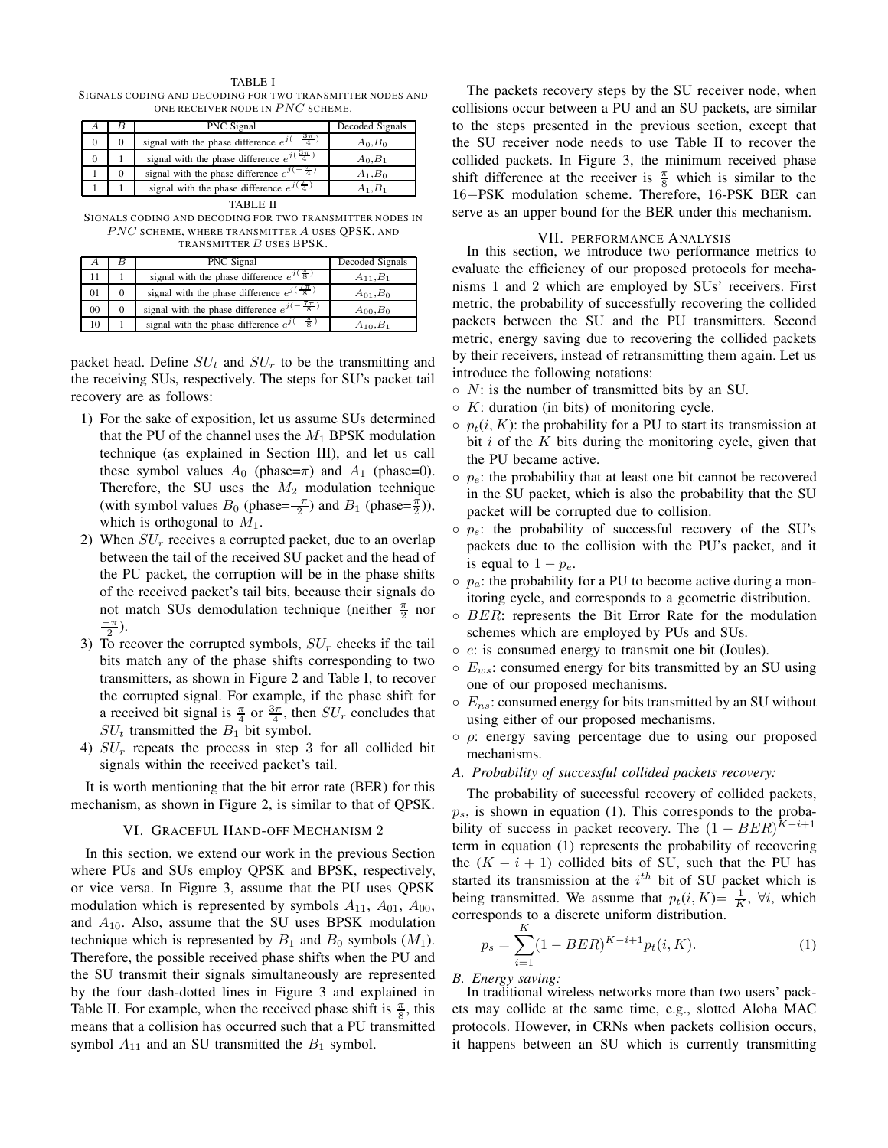TABLE I SIGNALS CODING AND DECODING FOR TWO TRANSMITTER NODES AND ONE RECEIVER NODE IN  $PNC$  scheme.

|   |   | PNC Signal                                                | Decoded Signals |
|---|---|-----------------------------------------------------------|-----------------|
|   | 0 | signal with the phase difference $e^{j(-\frac{3\pi}{4})}$ | $A_0, B_0$      |
| υ |   | signal with the phase difference $e^{j(\frac{3\pi}{4})}$  | $A_0, B_1$      |
|   |   | signal with the phase difference $e^{j(-\frac{\pi}{4})}$  | $A_1, B_0$      |
|   |   | signal with the phase difference $e^{j(\frac{\pi}{4})}$   | $A_1.B_1$       |

TABLE II

SIGNALS CODING AND DECODING FOR TWO TRANSMITTER NODES IN PNC SCHEME, WHERE TRANSMITTER A USES QPSK, AND TRANSMITTER B USES BPSK.

|    | PNC Signal                                                | Decoded Signals    |
|----|-----------------------------------------------------------|--------------------|
|    | signal with the phase difference $e^{j(\frac{\pi}{8})}$   | $A_{11}$ , $B_1$   |
| 01 | signal with the phase difference $e^{j(\frac{7\pi}{8})}$  | $A_{01}$ , $B_0$   |
| 00 | signal with the phase difference $e^{j(-\frac{7\pi}{8})}$ | $A_{00}$ , $B_{0}$ |
| 10 | signal with the phase difference $e^{j(-\frac{\pi}{8})}$  | $A_{10}$ , $B_1$   |

packet head. Define  $SU<sub>t</sub>$  and  $SU<sub>r</sub>$  to be the transmitting and the receiving SUs, respectively. The steps for SU's packet tail recovery are as follows:

- 1) For the sake of exposition, let us assume SUs determined that the PU of the channel uses the  $M_1$  BPSK modulation technique (as explained in Section III), and let us call these symbol values  $A_0$  (phase= $\pi$ ) and  $A_1$  (phase=0). Therefore, the SU uses the  $M_2$  modulation technique (with symbol values  $B_0$  (phase= $\frac{-\pi}{2}$ ) and  $B_1$  (phase= $\frac{\pi}{2}$ )), which is orthogonal to  $M_1$ .
- 2) When  $SU<sub>r</sub>$  receives a corrupted packet, due to an overlap between the tail of the received SU packet and the head of the PU packet, the corruption will be in the phase shifts of the received packet's tail bits, because their signals do not match SUs demodulation technique (neither  $\frac{\pi}{2}$  nor  $\frac{-\pi}{2}$ ).
- 3) To recover the corrupted symbols,  $SU<sub>r</sub>$  checks if the tail bits match any of the phase shifts corresponding to two transmitters, as shown in Figure 2 and Table I, to recover the corrupted signal. For example, if the phase shift for a received bit signal is  $\frac{\pi}{4}$  or  $\frac{3\pi}{4}$ , then  $SU_r$  concludes that  $SU<sub>t</sub>$  transmitted the  $B<sub>1</sub>$  bit symbol.
- 4)  $SU<sub>r</sub>$  repeats the process in step 3 for all collided bit signals within the received packet's tail.

It is worth mentioning that the bit error rate (BER) for this mechanism, as shown in Figure 2, is similar to that of QPSK.

# VI. GRACEFUL HAND-OFF MECHANISM 2

In this section, we extend our work in the previous Section where PUs and SUs employ QPSK and BPSK, respectively, or vice versa. In Figure 3, assume that the PU uses QPSK modulation which is represented by symbols  $A_{11}$ ,  $A_{01}$ ,  $A_{00}$ , and  $A_{10}$ . Also, assume that the SU uses BPSK modulation technique which is represented by  $B_1$  and  $B_0$  symbols  $(M_1)$ . Therefore, the possible received phase shifts when the PU and the SU transmit their signals simultaneously are represented by the four dash-dotted lines in Figure 3 and explained in Table II. For example, when the received phase shift is  $\frac{\pi}{8}$ , this means that a collision has occurred such that a PU transmitted symbol  $A_{11}$  and an SU transmitted the  $B_1$  symbol.

The packets recovery steps by the SU receiver node, when collisions occur between a PU and an SU packets, are similar to the steps presented in the previous section, except that the SU receiver node needs to use Table II to recover the collided packets. In Figure 3, the minimum received phase shift difference at the receiver is  $\frac{\pi}{8}$  which is similar to the 16−PSK modulation scheme. Therefore, 16-PSK BER can serve as an upper bound for the BER under this mechanism.

# VII. PERFORMANCE ANALYSIS

In this section, we introduce two performance metrics to evaluate the efficiency of our proposed protocols for mechanisms 1 and 2 which are employed by SUs' receivers. First metric, the probability of successfully recovering the collided packets between the SU and the PU transmitters. Second metric, energy saving due to recovering the collided packets by their receivers, instead of retransmitting them again. Let us introduce the following notations:

- $\circ$  N: is the number of transmitted bits by an SU.
- $\circ$  K: duration (in bits) of monitoring cycle.
- $\circ$   $p_t(i, K)$ : the probability for a PU to start its transmission at bit  $i$  of the  $K$  bits during the monitoring cycle, given that the PU became active.
- $\circ$   $p_e$ : the probability that at least one bit cannot be recovered in the SU packet, which is also the probability that the SU packet will be corrupted due to collision.
- $\circ$  p<sub>s</sub>: the probability of successful recovery of the SU's packets due to the collision with the PU's packet, and it is equal to  $1 - p_e$ .
- $\circ$   $p_a$ : the probability for a PU to become active during a monitoring cycle, and corresponds to a geometric distribution.
- $\circ$  BER: represents the Bit Error Rate for the modulation schemes which are employed by PUs and SUs.
- e: is consumed energy to transmit one bit (Joules).
- $\circ$   $E_{ws}$ : consumed energy for bits transmitted by an SU using one of our proposed mechanisms.
- $\circ$   $E_{ns}$ : consumed energy for bits transmitted by an SU without using either of our proposed mechanisms.
- $\circ$   $\rho$ : energy saving percentage due to using our proposed mechanisms.
- *A. Probability of successful collided packets recovery:*

The probability of successful recovery of collided packets,  $p_s$ , is shown in equation (1). This corresponds to the probability of success in packet recovery. The  $(1 - BER)^{K-i+1}$ term in equation (1) represents the probability of recovering the  $(K - i + 1)$  collided bits of SU, such that the PU has started its transmission at the  $i<sup>th</sup>$  bit of SU packet which is being transmitted. We assume that  $p_t(i, K) = \frac{1}{K}$ ,  $\forall i$ , which corresponds to a discrete uniform distribution.

$$
p_s = \sum_{i=1}^{K} (1 - BER)^{K-i+1} p_t(i, K).
$$
 (1)

# *B. Energy saving:*

In traditional wireless networks more than two users' packets may collide at the same time, e.g., slotted Aloha MAC protocols. However, in CRNs when packets collision occurs, it happens between an SU which is currently transmitting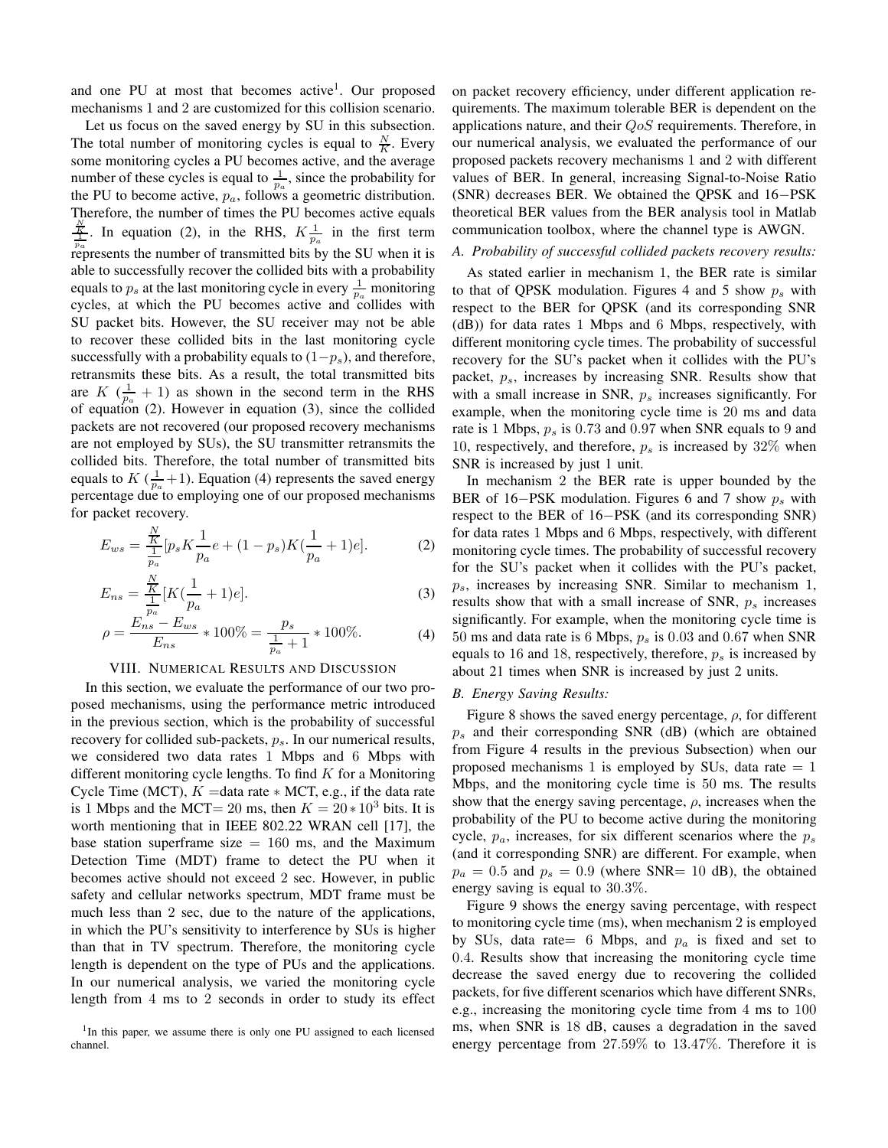and one PU at most that becomes active<sup>1</sup>. Our proposed mechanisms 1 and 2 are customized for this collision scenario.

Let us focus on the saved energy by SU in this subsection. The total number of monitoring cycles is equal to  $\frac{N}{K}$ . Every some monitoring cycles a PU becomes active, and the average number of these cycles is equal to  $\frac{1}{p_a}$ , since the probability for the PU to become active,  $p_a$ , follows a geometric distribution. Therefore, the number of times the PU becomes active equals  $\frac{N}{\frac{1}{p_a}}$ . In equation (2), in the RHS,  $K \frac{1}{p_a}$  in the first term represents the number of transmitted bits by the SU when it is able to successfully recover the collided bits with a probability equals to  $p_s$  at the last monitoring cycle in every  $\frac{1}{p_a}$  monitoring cycles, at which the PU becomes active and collides with SU packet bits. However, the SU receiver may not be able to recover these collided bits in the last monitoring cycle successfully with a probability equals to  $(1-p<sub>s</sub>)$ , and therefore, retransmits these bits. As a result, the total transmitted bits are  $K$  ( $\frac{1}{p_a}$  + 1) as shown in the second term in the RHS of equation (2). However in equation (3), since the collided packets are not recovered (our proposed recovery mechanisms are not employed by SUs), the SU transmitter retransmits the collided bits. Therefore, the total number of transmitted bits equals to  $K(\frac{1}{p_a}+1)$ . Equation (4) represents the saved energy percentage due to employing one of our proposed mechanisms for packet recovery.

$$
E_{ws} = \frac{\frac{N}{K}}{\frac{1}{p_a}} [p_s K \frac{1}{p_a} e + (1 - p_s) K (\frac{1}{p_a} + 1) e].
$$
 (2)

$$
E_{ns} = \frac{\frac{N}{K}}{\frac{1}{p_a}} [K(\frac{1}{p_a} + 1)e].
$$
 (3)

$$
\rho = \frac{E_{ns} - E_{ws}}{E_{ns}} * 100\% = \frac{p_s}{\frac{1}{p_a} + 1} * 100\%.
$$
 (4)

## VIII. NUMERICAL RESULTS AND DISCUSSION

In this section, we evaluate the performance of our two proposed mechanisms, using the performance metric introduced in the previous section, which is the probability of successful recovery for collided sub-packets,  $p_s$ . In our numerical results, we considered two data rates 1 Mbps and 6 Mbps with different monitoring cycle lengths. To find  $K$  for a Monitoring Cycle Time (MCT),  $K =$ data rate  $*$  MCT, e.g., if the data rate is 1 Mbps and the MCT= 20 ms, then  $K = 20 * 10^3$  bits. It is worth mentioning that in IEEE 802.22 WRAN cell [17], the base station superframe size  $= 160$  ms, and the Maximum Detection Time (MDT) frame to detect the PU when it becomes active should not exceed 2 sec. However, in public safety and cellular networks spectrum, MDT frame must be much less than 2 sec, due to the nature of the applications, in which the PU's sensitivity to interference by SUs is higher than that in TV spectrum. Therefore, the monitoring cycle length is dependent on the type of PUs and the applications. In our numerical analysis, we varied the monitoring cycle length from 4 ms to 2 seconds in order to study its effect on packet recovery efficiency, under different application requirements. The maximum tolerable BER is dependent on the applications nature, and their  $QoS$  requirements. Therefore, in our numerical analysis, we evaluated the performance of our proposed packets recovery mechanisms 1 and 2 with different values of BER. In general, increasing Signal-to-Noise Ratio (SNR) decreases BER. We obtained the QPSK and 16−PSK theoretical BER values from the BER analysis tool in Matlab communication toolbox, where the channel type is AWGN.

#### *A. Probability of successful collided packets recovery results:*

As stated earlier in mechanism 1, the BER rate is similar to that of QPSK modulation. Figures 4 and 5 show  $p_s$  with respect to the BER for QPSK (and its corresponding SNR (dB)) for data rates 1 Mbps and 6 Mbps, respectively, with different monitoring cycle times. The probability of successful recovery for the SU's packet when it collides with the PU's packet,  $p_s$ , increases by increasing SNR. Results show that with a small increase in SNR,  $p<sub>s</sub>$  increases significantly. For example, when the monitoring cycle time is 20 ms and data rate is 1 Mbps,  $p_s$  is 0.73 and 0.97 when SNR equals to 9 and 10, respectively, and therefore,  $p_s$  is increased by 32% when SNR is increased by just 1 unit.

In mechanism 2 the BER rate is upper bounded by the BER of 16–PSK modulation. Figures 6 and 7 show  $p_s$  with respect to the BER of 16−PSK (and its corresponding SNR) for data rates 1 Mbps and 6 Mbps, respectively, with different monitoring cycle times. The probability of successful recovery for the SU's packet when it collides with the PU's packet,  $p_s$ , increases by increasing SNR. Similar to mechanism 1, results show that with a small increase of SNR,  $p_s$  increases significantly. For example, when the monitoring cycle time is 50 ms and data rate is 6 Mbps,  $p_s$  is 0.03 and 0.67 when SNR equals to 16 and 18, respectively, therefore,  $p_s$  is increased by about 21 times when SNR is increased by just 2 units.

## *B. Energy Saving Results:*

Figure 8 shows the saved energy percentage,  $\rho$ , for different  $p_s$  and their corresponding SNR (dB) (which are obtained from Figure 4 results in the previous Subsection) when our proposed mechanisms 1 is employed by SUs, data rate  $= 1$ Mbps, and the monitoring cycle time is 50 ms. The results show that the energy saving percentage,  $\rho$ , increases when the probability of the PU to become active during the monitoring cycle,  $p_a$ , increases, for six different scenarios where the  $p_s$ (and it corresponding SNR) are different. For example, when  $p_a = 0.5$  and  $p_s = 0.9$  (where SNR= 10 dB), the obtained energy saving is equal to 30.3%.

Figure 9 shows the energy saving percentage, with respect to monitoring cycle time (ms), when mechanism 2 is employed by SUs, data rate= 6 Mbps, and  $p_a$  is fixed and set to 0.4. Results show that increasing the monitoring cycle time decrease the saved energy due to recovering the collided packets, for five different scenarios which have different SNRs, e.g., increasing the monitoring cycle time from 4 ms to 100 ms, when SNR is 18 dB, causes a degradation in the saved energy percentage from 27.59% to 13.47%. Therefore it is

<sup>&</sup>lt;sup>1</sup>In this paper, we assume there is only one PU assigned to each licensed channel.